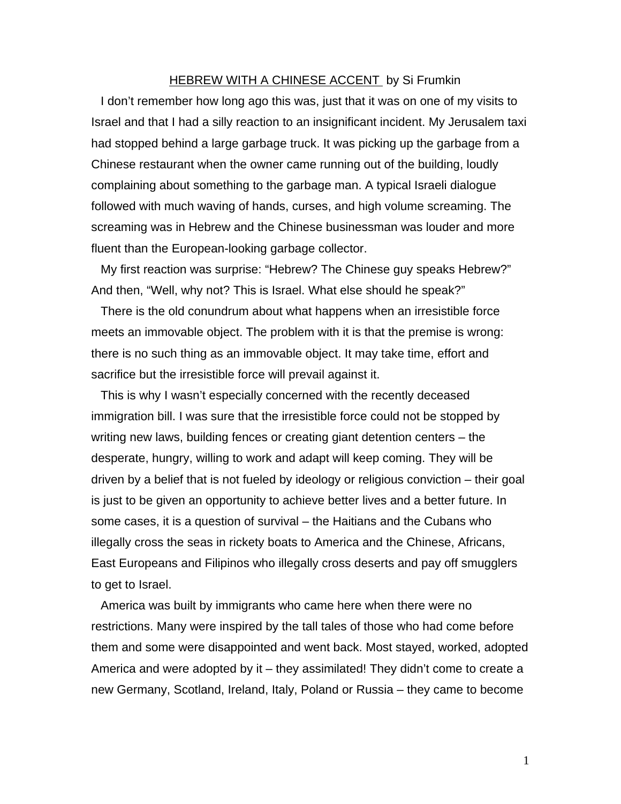## HEBREW WITH A CHINESE ACCENT by Si Frumkin

I don't remember how long ago this was, just that it was on one of my visits to Israel and that I had a silly reaction to an insignificant incident. My Jerusalem taxi had stopped behind a large garbage truck. It was picking up the garbage from a Chinese restaurant when the owner came running out of the building, loudly complaining about something to the garbage man. A typical Israeli dialogue followed with much waving of hands, curses, and high volume screaming. The screaming was in Hebrew and the Chinese businessman was louder and more fluent than the European-looking garbage collector.

My first reaction was surprise: "Hebrew? The Chinese guy speaks Hebrew?" And then, "Well, why not? This is Israel. What else should he speak?"

There is the old conundrum about what happens when an irresistible force meets an immovable object. The problem with it is that the premise is wrong: there is no such thing as an immovable object. It may take time, effort and sacrifice but the irresistible force will prevail against it.

This is why I wasn't especially concerned with the recently deceased immigration bill. I was sure that the irresistible force could not be stopped by writing new laws, building fences or creating giant detention centers – the desperate, hungry, willing to work and adapt will keep coming. They will be driven by a belief that is not fueled by ideology or religious conviction – their goal is just to be given an opportunity to achieve better lives and a better future. In some cases, it is a question of survival – the Haitians and the Cubans who illegally cross the seas in rickety boats to America and the Chinese, Africans, East Europeans and Filipinos who illegally cross deserts and pay off smugglers to get to Israel.

America was built by immigrants who came here when there were no restrictions. Many were inspired by the tall tales of those who had come before them and some were disappointed and went back. Most stayed, worked, adopted America and were adopted by it – they assimilated! They didn't come to create a new Germany, Scotland, Ireland, Italy, Poland or Russia – they came to become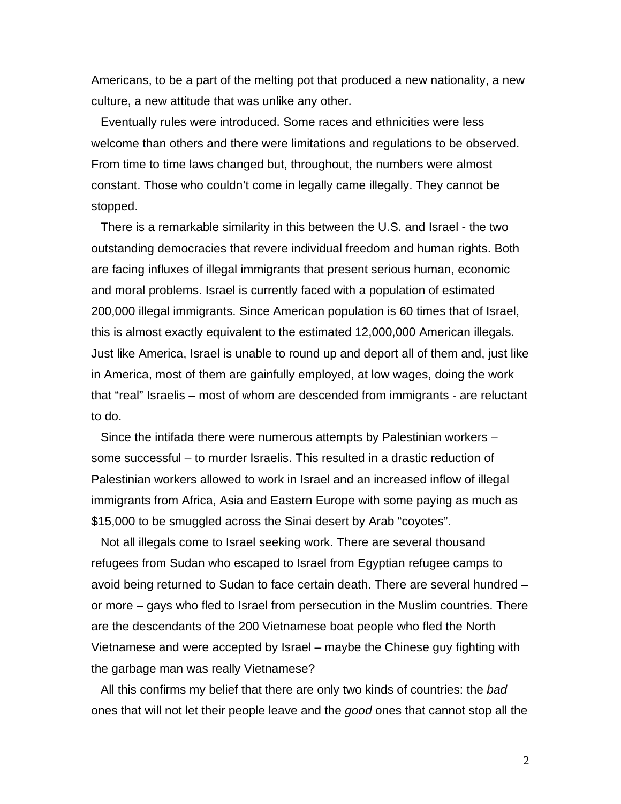Americans, to be a part of the melting pot that produced a new nationality, a new culture, a new attitude that was unlike any other.

Eventually rules were introduced. Some races and ethnicities were less welcome than others and there were limitations and regulations to be observed. From time to time laws changed but, throughout, the numbers were almost constant. Those who couldn't come in legally came illegally. They cannot be stopped.

There is a remarkable similarity in this between the U.S. and Israel - the two outstanding democracies that revere individual freedom and human rights. Both are facing influxes of illegal immigrants that present serious human, economic and moral problems. Israel is currently faced with a population of estimated 200,000 illegal immigrants. Since American population is 60 times that of Israel, this is almost exactly equivalent to the estimated 12,000,000 American illegals. Just like America, Israel is unable to round up and deport all of them and, just like in America, most of them are gainfully employed, at low wages, doing the work that "real" Israelis – most of whom are descended from immigrants - are reluctant to do.

Since the intifada there were numerous attempts by Palestinian workers – some successful – to murder Israelis. This resulted in a drastic reduction of Palestinian workers allowed to work in Israel and an increased inflow of illegal immigrants from Africa, Asia and Eastern Europe with some paying as much as \$15,000 to be smuggled across the Sinai desert by Arab "coyotes".

Not all illegals come to Israel seeking work. There are several thousand refugees from Sudan who escaped to Israel from Egyptian refugee camps to avoid being returned to Sudan to face certain death. There are several hundred – or more – gays who fled to Israel from persecution in the Muslim countries. There are the descendants of the 200 Vietnamese boat people who fled the North Vietnamese and were accepted by Israel – maybe the Chinese guy fighting with the garbage man was really Vietnamese?

All this confirms my belief that there are only two kinds of countries: the *bad*  ones that will not let their people leave and the *good* ones that cannot stop all the

2